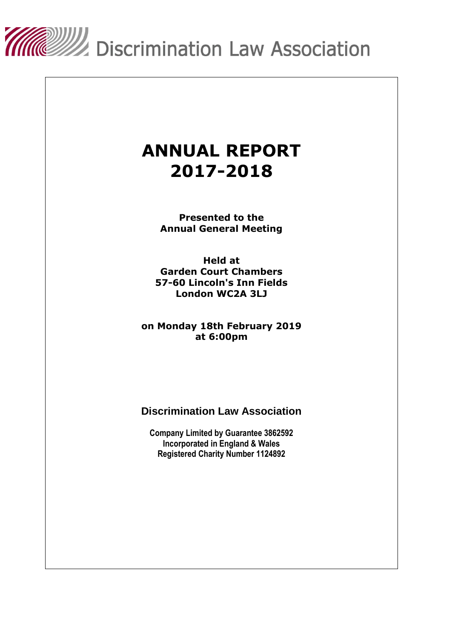

# **ANNUAL REPORT 2017-2018**

**Presented to the Annual General Meeting**

**Held at Garden Court Chambers 57-60 Lincoln's Inn Fields London WC2A 3LJ**

**on Monday 18th February 2019 at 6:00pm**

**Discrimination Law Association**

**Company Limited by Guarantee 3862592 Incorporated in England & Wales Registered Charity Number 1124892**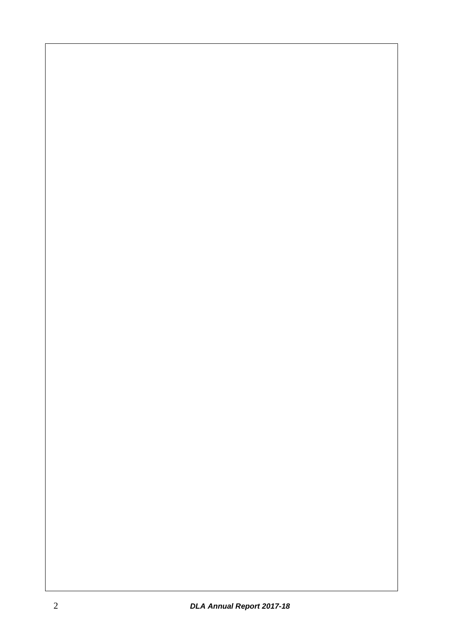*DLA Annual Report 2017-18*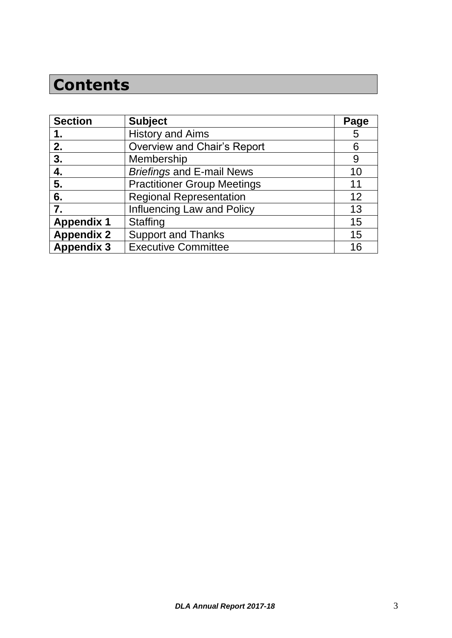# **Contents**

| <b>Section</b>    | <b>Subject</b>                     | Page |
|-------------------|------------------------------------|------|
| 1.                | <b>History and Aims</b>            | 5    |
| 2.                | Overview and Chair's Report        | 6    |
| 3.                | Membership                         | 9    |
| 4.                | <b>Briefings and E-mail News</b>   | 10   |
| 5.                | <b>Practitioner Group Meetings</b> | 11   |
| 6.                | <b>Regional Representation</b>     | 12   |
| 7.                | Influencing Law and Policy         | 13   |
| <b>Appendix 1</b> | Staffing                           | 15   |
| <b>Appendix 2</b> | <b>Support and Thanks</b>          | 15   |
| <b>Appendix 3</b> | <b>Executive Committee</b>         | 16   |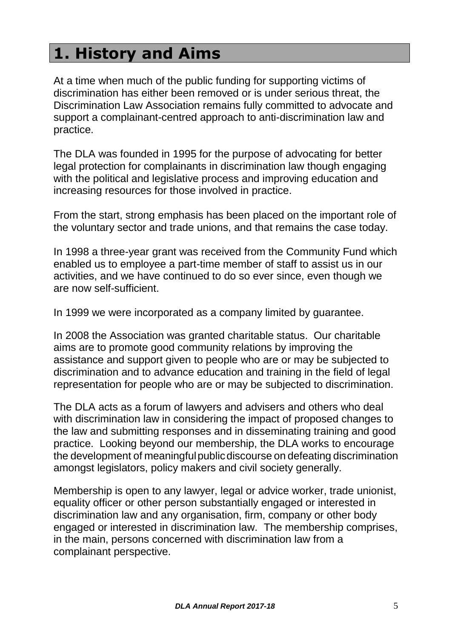# **1. History and Aims**

At a time when much of the public funding for supporting victims of discrimination has either been removed or is under serious threat, the Discrimination Law Association remains fully committed to advocate and support a complainant-centred approach to anti-discrimination law and practice.

The DLA was founded in 1995 for the purpose of advocating for better legal protection for complainants in discrimination law though engaging with the political and legislative process and improving education and increasing resources for those involved in practice.

From the start, strong emphasis has been placed on the important role of the voluntary sector and trade unions, and that remains the case today.

In 1998 a three-year grant was received from the Community Fund which enabled us to employee a part-time member of staff to assist us in our activities, and we have continued to do so ever since, even though we are now self-sufficient.

In 1999 we were incorporated as a company limited by guarantee.

In 2008 the Association was granted charitable status. Our charitable aims are to promote good community relations by improving the assistance and support given to people who are or may be subjected to discrimination and to advance education and training in the field of legal representation for people who are or may be subjected to discrimination.

The DLA acts as a forum of lawyers and advisers and others who deal with discrimination law in considering the impact of proposed changes to the law and submitting responses and in disseminating training and good practice. Looking beyond our membership, the DLA works to encourage the development of meaningful public discourse on defeating discrimination amongst legislators, policy makers and civil society generally.

Membership is open to any lawyer, legal or advice worker, trade unionist, equality officer or other person substantially engaged or interested in discrimination law and any organisation, firm, company or other body engaged or interested in discrimination law. The membership comprises, in the main, persons concerned with discrimination law from a complainant perspective.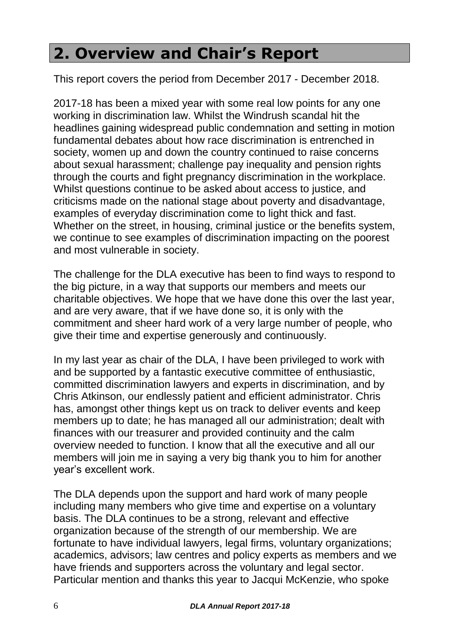# **2. Overview and Chair's Report**

This report covers the period from December 2017 - December 2018.

2017-18 has been a mixed year with some real low points for any one working in discrimination law. Whilst the Windrush scandal hit the headlines gaining widespread public condemnation and setting in motion fundamental debates about how race discrimination is entrenched in society, women up and down the country continued to raise concerns about sexual harassment; challenge pay inequality and pension rights through the courts and fight pregnancy discrimination in the workplace. Whilst questions continue to be asked about access to justice, and criticisms made on the national stage about poverty and disadvantage, examples of everyday discrimination come to light thick and fast. Whether on the street, in housing, criminal justice or the benefits system, we continue to see examples of discrimination impacting on the poorest and most vulnerable in society.

The challenge for the DLA executive has been to find ways to respond to the big picture, in a way that supports our members and meets our charitable objectives. We hope that we have done this over the last year, and are very aware, that if we have done so, it is only with the commitment and sheer hard work of a very large number of people, who give their time and expertise generously and continuously.

In my last year as chair of the DLA, I have been privileged to work with and be supported by a fantastic executive committee of enthusiastic, committed discrimination lawyers and experts in discrimination, and by Chris Atkinson, our endlessly patient and efficient administrator. Chris has, amongst other things kept us on track to deliver events and keep members up to date; he has managed all our administration; dealt with finances with our treasurer and provided continuity and the calm overview needed to function. I know that all the executive and all our members will join me in saying a very big thank you to him for another year's excellent work.

The DLA depends upon the support and hard work of many people including many members who give time and expertise on a voluntary basis. The DLA continues to be a strong, relevant and effective organization because of the strength of our membership. We are fortunate to have individual lawyers, legal firms, voluntary organizations; academics, advisors; law centres and policy experts as members and we have friends and supporters across the voluntary and legal sector. Particular mention and thanks this year to Jacqui McKenzie, who spoke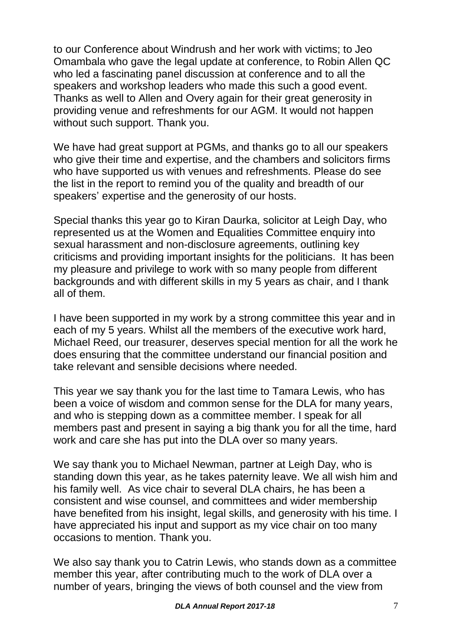to our Conference about Windrush and her work with victims; to Jeo Omambala who gave the legal update at conference, to Robin Allen QC who led a fascinating panel discussion at conference and to all the speakers and workshop leaders who made this such a good event. Thanks as well to Allen and Overy again for their great generosity in providing venue and refreshments for our AGM. It would not happen without such support. Thank you.

We have had great support at PGMs, and thanks go to all our speakers who give their time and expertise, and the chambers and solicitors firms who have supported us with venues and refreshments. Please do see the list in the report to remind you of the quality and breadth of our speakers' expertise and the generosity of our hosts.

Special thanks this year go to Kiran Daurka, solicitor at Leigh Day, who represented us at the Women and Equalities Committee enquiry into sexual harassment and non-disclosure agreements, outlining key criticisms and providing important insights for the politicians. It has been my pleasure and privilege to work with so many people from different backgrounds and with different skills in my 5 years as chair, and I thank all of them.

I have been supported in my work by a strong committee this year and in each of my 5 years. Whilst all the members of the executive work hard, Michael Reed, our treasurer, deserves special mention for all the work he does ensuring that the committee understand our financial position and take relevant and sensible decisions where needed.

This year we say thank you for the last time to Tamara Lewis, who has been a voice of wisdom and common sense for the DLA for many years, and who is stepping down as a committee member. I speak for all members past and present in saying a big thank you for all the time, hard work and care she has put into the DLA over so many years.

We say thank you to Michael Newman, partner at Leigh Day, who is standing down this year, as he takes paternity leave. We all wish him and his family well. As vice chair to several DLA chairs, he has been a consistent and wise counsel, and committees and wider membership have benefited from his insight, legal skills, and generosity with his time. I have appreciated his input and support as my vice chair on too many occasions to mention. Thank you.

We also say thank you to Catrin Lewis, who stands down as a committee member this year, after contributing much to the work of DLA over a number of years, bringing the views of both counsel and the view from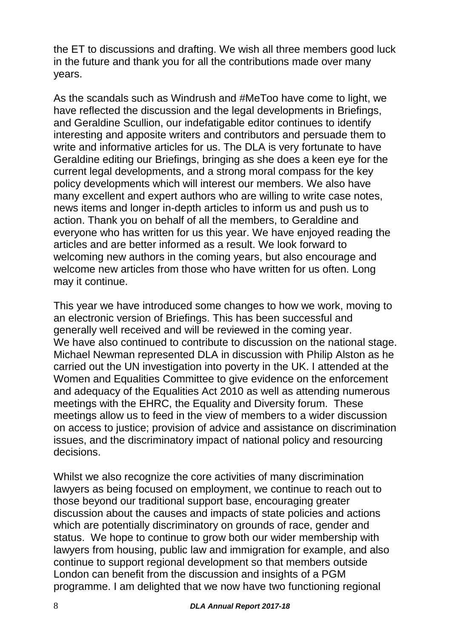the ET to discussions and drafting. We wish all three members good luck in the future and thank you for all the contributions made over many years.

As the scandals such as Windrush and #MeToo have come to light, we have reflected the discussion and the legal developments in Briefings, and Geraldine Scullion, our indefatigable editor continues to identify interesting and apposite writers and contributors and persuade them to write and informative articles for us. The DLA is very fortunate to have Geraldine editing our Briefings, bringing as she does a keen eye for the current legal developments, and a strong moral compass for the key policy developments which will interest our members. We also have many excellent and expert authors who are willing to write case notes, news items and longer in-depth articles to inform us and push us to action. Thank you on behalf of all the members, to Geraldine and everyone who has written for us this year. We have enjoyed reading the articles and are better informed as a result. We look forward to welcoming new authors in the coming years, but also encourage and welcome new articles from those who have written for us often. Long may it continue.

This year we have introduced some changes to how we work, moving to an electronic version of Briefings. This has been successful and generally well received and will be reviewed in the coming year. We have also continued to contribute to discussion on the national stage. Michael Newman represented DLA in discussion with Philip Alston as he carried out the UN investigation into poverty in the UK. I attended at the Women and Equalities Committee to give evidence on the enforcement and adequacy of the Equalities Act 2010 as well as attending numerous meetings with the EHRC, the Equality and Diversity forum. These meetings allow us to feed in the view of members to a wider discussion on access to justice; provision of advice and assistance on discrimination issues, and the discriminatory impact of national policy and resourcing decisions.

Whilst we also recognize the core activities of many discrimination lawyers as being focused on employment, we continue to reach out to those beyond our traditional support base, encouraging greater discussion about the causes and impacts of state policies and actions which are potentially discriminatory on grounds of race, gender and status. We hope to continue to grow both our wider membership with lawyers from housing, public law and immigration for example, and also continue to support regional development so that members outside London can benefit from the discussion and insights of a PGM programme. I am delighted that we now have two functioning regional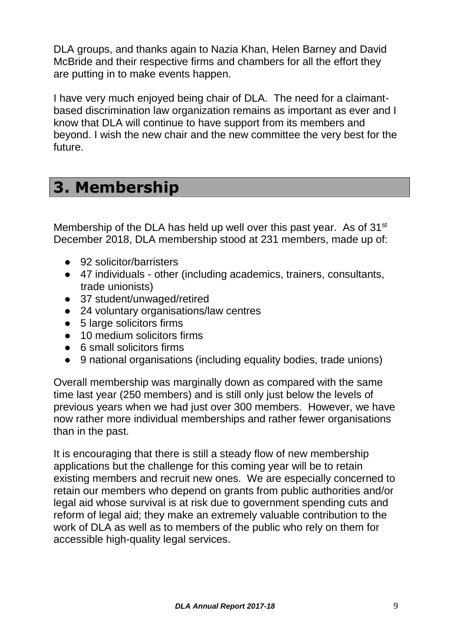DLA groups, and thanks again to Nazia Khan, Helen Barney and David McBride and their respective firms and chambers for all the effort they are putting in to make events happen.

I have very much enjoyed being chair of DLA. The need for a claimantbased discrimination law organization remains as important as ever and I know that DLA will continue to have support from its members and beyond. I wish the new chair and the new committee the very best for the future.

## **3. Membership**

Membership of the DLA has held up well over this past year. As of 31<sup>st</sup> December 2018, DLA membership stood at 231 members, made up of:

- 92 solicitor/barristers
- 47 individuals other (including academics, trainers, consultants, trade unionists)
- 37 student/unwaged/retired
- 24 voluntary organisations/law centres
- 5 large solicitors firms
- 10 medium solicitors firms
- 6 small solicitors firms
- 9 national organisations (including equality bodies, trade unions)

Overall membership was marginally down as compared with the same time last year (250 members) and is still only just below the levels of previous years when we had just over 300 members. However, we have now rather more individual memberships and rather fewer organisations than in the past.

It is encouraging that there is still a steady flow of new membership applications but the challenge for this coming year will be to retain existing members and recruit new ones. We are especially concerned to retain our members who depend on grants from public authorities and/or legal aid whose survival is at risk due to government spending cuts and reform of legal aid; they make an extremely valuable contribution to the work of DLA as well as to members of the public who rely on them for accessible high-quality legal services.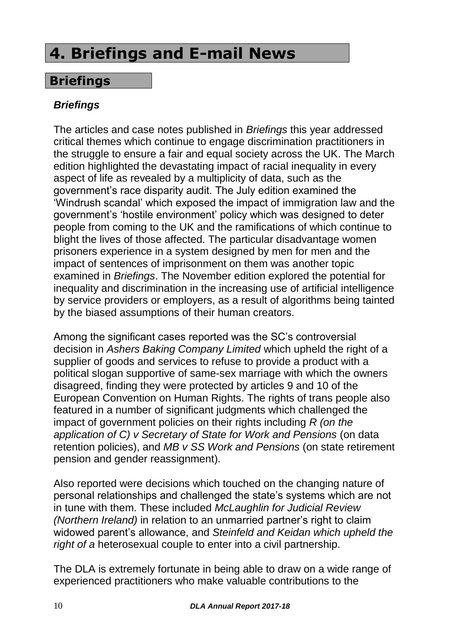# **4. Briefings and E-mail News**

#### **Briefings**

#### *Briefings*

The articles and case notes published in *Briefings* this year addressed critical themes which continue to engage discrimination practitioners in the struggle to ensure a fair and equal society across the UK. The March edition highlighted the devastating impact of racial inequality in every aspect of life as revealed by a multiplicity of data, such as the government's race disparity audit. The July edition examined the 'Windrush scandal' which exposed the impact of immigration law and the government's 'hostile environment' policy which was designed to deter people from coming to the UK and the ramifications of which continue to blight the lives of those affected. The particular disadvantage women prisoners experience in a system designed by men for men and the impact of sentences of imprisonment on them was another topic examined in *Briefings*. The November edition explored the potential for inequality and discrimination in the increasing use of artificial intelligence by service providers or employers, as a result of algorithms being tainted by the biased assumptions of their human creators.

Among the significant cases reported was the SC's controversial decision in *Ashers Baking Company Limited* which upheld the right of a supplier of goods and services to refuse to provide a product with a political slogan supportive of same-sex marriage with which the owners disagreed, finding they were protected by articles 9 and 10 of the European Convention on Human Rights. The rights of trans people also featured in a number of significant judgments which challenged the impact of government policies on their rights including *R (on the application of C) v Secretary of State for Work and Pensions* (on data retention policies), and *MB v SS Work and Pensions* (on state retirement pension and gender reassignment).

Also reported were decisions which touched on the changing nature of personal relationships and challenged the state's systems which are not in tune with them. These included *McLaughlin for Judicial Review (Northern Ireland)* in relation to an unmarried partner's right to claim widowed parent's allowance, and *Steinfeld and Keidan which upheld the right of a* heterosexual couple to enter into a civil partnership.

The DLA is extremely fortunate in being able to draw on a wide range of experienced practitioners who make valuable contributions to the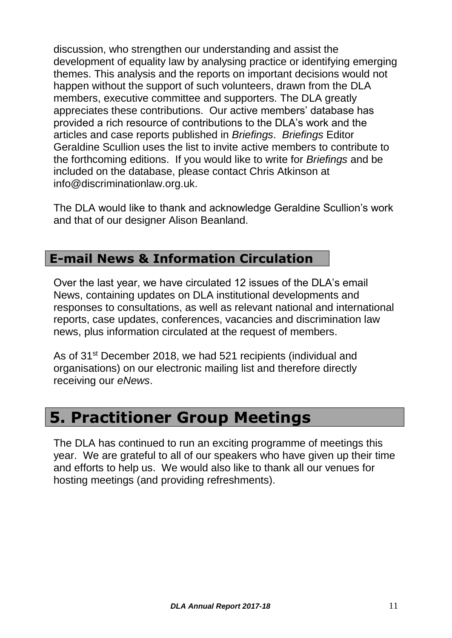discussion, who strengthen our understanding and assist the development of equality law by analysing practice or identifying emerging themes. This analysis and the reports on important decisions would not happen without the support of such volunteers, drawn from the DLA members, executive committee and supporters. The DLA greatly appreciates these contributions. Our active members' database has provided a rich resource of contributions to the DLA's work and the articles and case reports published in *Briefings*. *Briefings* Editor Geraldine Scullion uses the list to invite active members to contribute to the forthcoming editions. If you would like to write for *Briefings* and be included on the database, please contact Chris Atkinson at info@discriminationlaw.org.uk.

The DLA would like to thank and acknowledge Geraldine Scullion's work and that of our designer Alison Beanland.

#### **E-mail News & Information Circulation**

Over the last year, we have circulated 12 issues of the DLA's email News, containing updates on DLA institutional developments and responses to consultations, as well as relevant national and international reports, case updates, conferences, vacancies and discrimination law news, plus information circulated at the request of members.

As of 31<sup>st</sup> December 2018, we had 521 recipients (individual and organisations) on our electronic mailing list and therefore directly receiving our *eNews*.

### **5. Practitioner Group Meetings**

The DLA has continued to run an exciting programme of meetings this year. We are grateful to all of our speakers who have given up their time and efforts to help us. We would also like to thank all our venues for hosting meetings (and providing refreshments).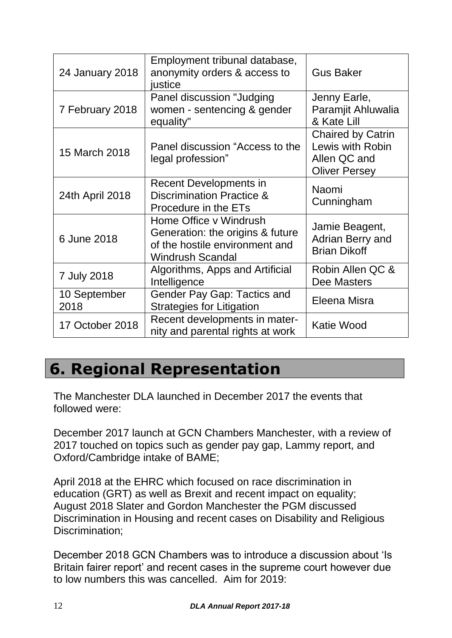| 24 January 2018      | Employment tribunal database,<br>anonymity orders & access to<br>justice                                                | <b>Gus Baker</b>                                                                     |
|----------------------|-------------------------------------------------------------------------------------------------------------------------|--------------------------------------------------------------------------------------|
| 7 February 2018      | Panel discussion "Judging<br>women - sentencing & gender<br>equality"                                                   | Jenny Earle,<br>Paramjit Ahluwalia<br>& Kate Lill                                    |
| 15 March 2018        | Panel discussion "Access to the<br>legal profession"                                                                    | <b>Chaired by Catrin</b><br>Lewis with Robin<br>Allen QC and<br><b>Oliver Persey</b> |
| 24th April 2018      | <b>Recent Developments in</b><br>Discrimination Practice &<br>Procedure in the ETs                                      | Naomi<br>Cunningham                                                                  |
| 6 June 2018          | Home Office v Windrush<br>Generation: the origins & future<br>of the hostile environment and<br><b>Windrush Scandal</b> | Jamie Beagent,<br>Adrian Berry and<br><b>Brian Dikoff</b>                            |
| 7 July 2018          | Algorithms, Apps and Artificial<br>Intelligence                                                                         | Robin Allen QC &<br>Dee Masters                                                      |
| 10 September<br>2018 | Gender Pay Gap: Tactics and<br><b>Strategies for Litigation</b>                                                         | Eleena Misra                                                                         |
| 17 October 2018      | Recent developments in mater-<br>nity and parental rights at work                                                       | <b>Katie Wood</b>                                                                    |

### **6. Regional Representation**

The Manchester DLA launched in December 2017 the events that followed were:

December 2017 launch at GCN Chambers Manchester, with a review of 2017 touched on topics such as gender pay gap, Lammy report, and Oxford/Cambridge intake of BAME;

April 2018 at the EHRC which focused on race discrimination in education (GRT) as well as Brexit and recent impact on equality; August 2018 Slater and Gordon Manchester the PGM discussed Discrimination in Housing and recent cases on Disability and Religious Discrimination;

December 2018 GCN Chambers was to introduce a discussion about 'Is Britain fairer report' and recent cases in the supreme court however due to low numbers this was cancelled. Aim for 2019: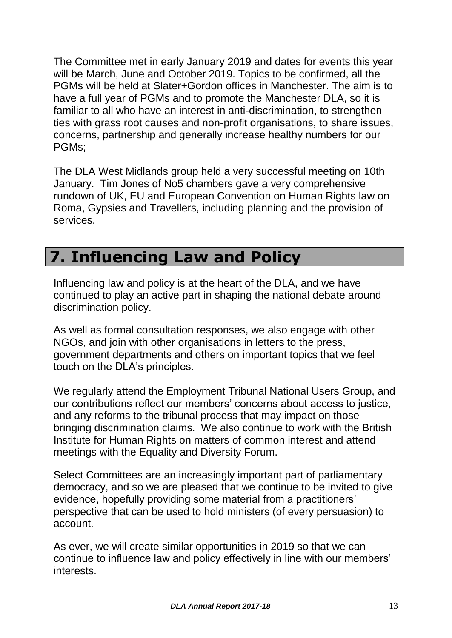The Committee met in early January 2019 and dates for events this year will be March, June and October 2019. Topics to be confirmed, all the PGMs will be held at Slater+Gordon offices in Manchester. The aim is to have a full year of PGMs and to promote the Manchester DLA, so it is familiar to all who have an interest in anti-discrimination, to strengthen ties with grass root causes and non-profit organisations, to share issues, concerns, partnership and generally increase healthy numbers for our PGMs;

The DLA West Midlands group held a very successful meeting on 10th January. Tim Jones of No5 chambers gave a very comprehensive rundown of UK, EU and European Convention on Human Rights law on Roma, Gypsies and Travellers, including planning and the provision of services.

### **7. Influencing Law and Policy**

Influencing law and policy is at the heart of the DLA, and we have continued to play an active part in shaping the national debate around discrimination policy.

As well as formal consultation responses, we also engage with other NGOs, and join with other organisations in letters to the press, government departments and others on important topics that we feel touch on the DLA's principles.

We regularly attend the Employment Tribunal National Users Group, and our contributions reflect our members' concerns about access to justice, and any reforms to the tribunal process that may impact on those bringing discrimination claims. We also continue to work with the British Institute for Human Rights on matters of common interest and attend meetings with the Equality and Diversity Forum.

Select Committees are an increasingly important part of parliamentary democracy, and so we are pleased that we continue to be invited to give evidence, hopefully providing some material from a practitioners' perspective that can be used to hold ministers (of every persuasion) to account.

As ever, we will create similar opportunities in 2019 so that we can continue to influence law and policy effectively in line with our members' interests.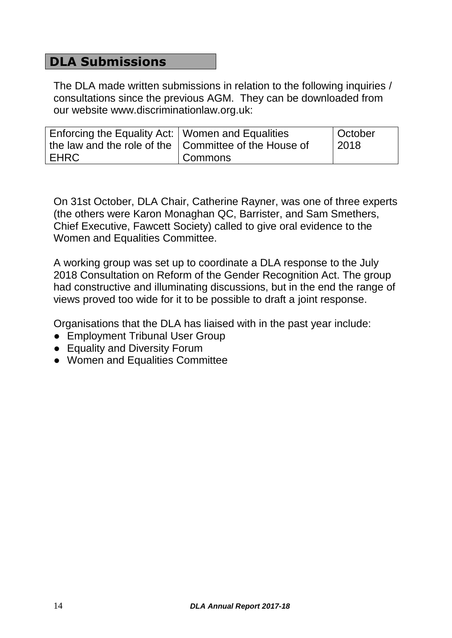#### **DLA Submissions**

The DLA made written submissions in relation to the following inquiries / consultations since the previous AGM. They can be downloaded from our website www.discriminationlaw.org.uk:

| Enforcing the Equality Act:   Women and Equalities |                                                         | <b>October</b> |
|----------------------------------------------------|---------------------------------------------------------|----------------|
|                                                    | the law and the role of the   Committee of the House of | 2018           |
| EHRC                                               | l Commons                                               |                |

On 31st October, DLA Chair, Catherine Rayner, was one of three experts (the others were Karon Monaghan QC, Barrister, and Sam Smethers, Chief Executive, Fawcett Society) called to give oral evidence to the Women and Equalities Committee.

A working group was set up to coordinate a DLA response to the July 2018 Consultation on Reform of the Gender Recognition Act. The group had constructive and illuminating discussions, but in the end the range of views proved too wide for it to be possible to draft a joint response.

Organisations that the DLA has liaised with in the past year include:

- Employment Tribunal User Group
- Equality and Diversity Forum
- Women and Equalities Committee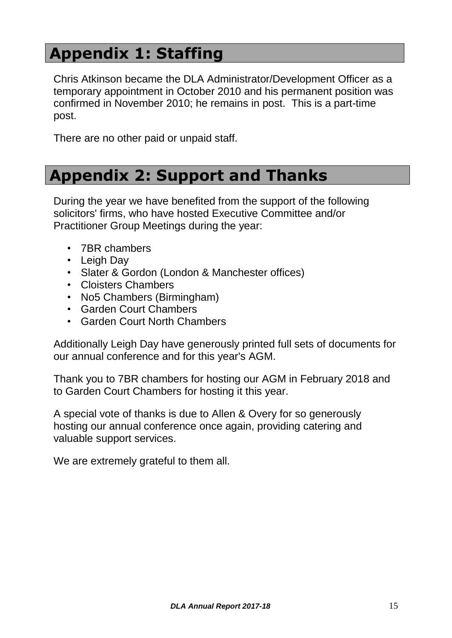# **Appendix 1: Staffing**

Chris Atkinson became the DLA Administrator/Development Officer as a temporary appointment in October 2010 and his permanent position was confirmed in November 2010; he remains in post. This is a part-time post.

There are no other paid or unpaid staff.

### **Appendix 2: Support and Thanks**

During the year we have benefited from the support of the following solicitors' firms, who have hosted Executive Committee and/or Practitioner Group Meetings during the year:

- 7BR chambers
- Leigh Day
- Slater & Gordon (London & Manchester offices)
- Cloisters Chambers
- No5 Chambers (Birmingham)
- Garden Court Chambers
- Garden Court North Chambers

Additionally Leigh Day have generously printed full sets of documents for our annual conference and for this year's AGM.

Thank you to 7BR chambers for hosting our AGM in February 2018 and to Garden Court Chambers for hosting it this year.

A special vote of thanks is due to Allen & Overy for so generously hosting our annual conference once again, providing catering and valuable support services.

We are extremely grateful to them all.